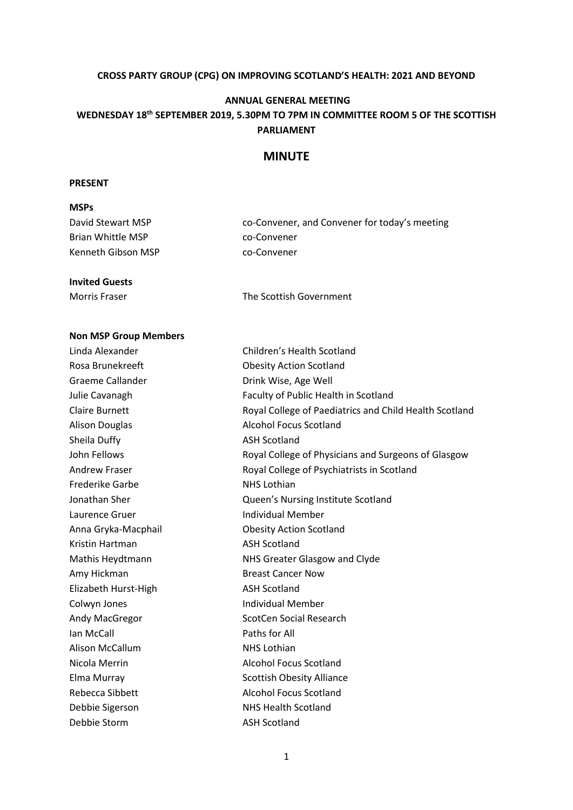#### **CROSS PARTY GROUP (CPG) ON IMPROVING SCOTLAND'S HEALTH: 2021 AND BEYOND**

#### **ANNUAL GENERAL MEETING**

# **WEDNESDAY 18th SEPTEMBER 2019, 5.30PM TO 7PM IN COMMITTEE ROOM 5 OF THE SCOTTISH PARLIAMENT**

## **MINUTE**

#### **PRESENT**

| <b>MSPs</b>        |                                               |
|--------------------|-----------------------------------------------|
| David Stewart MSP  | co-Convener, and Convener for today's meeting |
| Brian Whittle MSP  | co-Convener                                   |
| Kenneth Gibson MSP | co-Convener                                   |
|                    |                                               |

#### **Invited Guests**

Morris Fraser The Scottish Government

# **Non MSP Group Members**

| Linda Alexander        | Children's Health Scotland                             |
|------------------------|--------------------------------------------------------|
| Rosa Brunekreeft       | <b>Obesity Action Scotland</b>                         |
| Graeme Callander       | Drink Wise, Age Well                                   |
| Julie Cavanagh         | Faculty of Public Health in Scotland                   |
| <b>Claire Burnett</b>  | Royal College of Paediatrics and Child Health Scotland |
| <b>Alison Douglas</b>  | <b>Alcohol Focus Scotland</b>                          |
| Sheila Duffy           | <b>ASH Scotland</b>                                    |
| John Fellows           | Royal College of Physicians and Surgeons of Glasgow    |
| <b>Andrew Fraser</b>   | Royal College of Psychiatrists in Scotland             |
| <b>Frederike Garbe</b> | <b>NHS Lothian</b>                                     |
| Jonathan Sher          | Queen's Nursing Institute Scotland                     |
| Laurence Gruer         | <b>Individual Member</b>                               |
| Anna Gryka-Macphail    | <b>Obesity Action Scotland</b>                         |
| Kristin Hartman        | <b>ASH Scotland</b>                                    |
| Mathis Heydtmann       | NHS Greater Glasgow and Clyde                          |
| Amy Hickman            | <b>Breast Cancer Now</b>                               |
| Elizabeth Hurst-High   | <b>ASH Scotland</b>                                    |
| Colwyn Jones           | <b>Individual Member</b>                               |
| Andy MacGregor         | <b>ScotCen Social Research</b>                         |
| Ian McCall             | Paths for All                                          |
| Alison McCallum        | <b>NHS Lothian</b>                                     |
| Nicola Merrin          | <b>Alcohol Focus Scotland</b>                          |
| Elma Murray            | <b>Scottish Obesity Alliance</b>                       |
| Rebecca Sibbett        | <b>Alcohol Focus Scotland</b>                          |
| Debbie Sigerson        | <b>NHS Health Scotland</b>                             |
| Debbie Storm           | <b>ASH Scotland</b>                                    |
|                        |                                                        |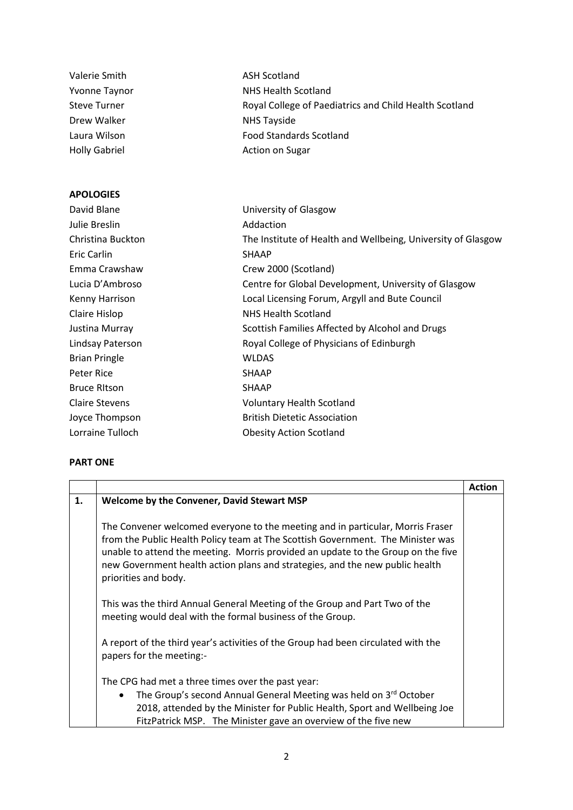| Valerie Smith         | <b>ASH Scotland</b>                                          |
|-----------------------|--------------------------------------------------------------|
| <b>Yvonne Taynor</b>  | <b>NHS Health Scotland</b>                                   |
| <b>Steve Turner</b>   | Royal College of Paediatrics and Child Health Scotland       |
| Drew Walker           | <b>NHS Tayside</b>                                           |
| Laura Wilson          | <b>Food Standards Scotland</b>                               |
| <b>Holly Gabriel</b>  | <b>Action on Sugar</b>                                       |
| <b>APOLOGIES</b>      |                                                              |
| David Blane           | University of Glasgow                                        |
| Julie Breslin         | Addaction                                                    |
| Christina Buckton     | The Institute of Health and Wellbeing, University of Glasgow |
| <b>Eric Carlin</b>    | <b>SHAAP</b>                                                 |
| Emma Crawshaw         | Crew 2000 (Scotland)                                         |
| Lucia D'Ambroso       | Centre for Global Development, University of Glasgow         |
| Kenny Harrison        | Local Licensing Forum, Argyll and Bute Council               |
| Claire Hislop         | <b>NHS Health Scotland</b>                                   |
| Justina Murray        | Scottish Families Affected by Alcohol and Drugs              |
| Lindsay Paterson      | Royal College of Physicians of Edinburgh                     |
| <b>Brian Pringle</b>  | <b>WLDAS</b>                                                 |
| Peter Rice            | <b>SHAAP</b>                                                 |
| <b>Bruce RItson</b>   | <b>SHAAP</b>                                                 |
| <b>Claire Stevens</b> | <b>Voluntary Health Scotland</b>                             |
| Joyce Thompson        | <b>British Dietetic Association</b>                          |
| Lorraine Tulloch      | <b>Obesity Action Scotland</b>                               |
|                       |                                                              |

### **PART ONE**

|    |                                                                                                                                                                                                                                                                                                                                                               | Action |
|----|---------------------------------------------------------------------------------------------------------------------------------------------------------------------------------------------------------------------------------------------------------------------------------------------------------------------------------------------------------------|--------|
| 1. | Welcome by the Convener, David Stewart MSP                                                                                                                                                                                                                                                                                                                    |        |
|    | The Convener welcomed everyone to the meeting and in particular, Morris Fraser<br>from the Public Health Policy team at The Scottish Government. The Minister was<br>unable to attend the meeting. Morris provided an update to the Group on the five<br>new Government health action plans and strategies, and the new public health<br>priorities and body. |        |
|    | This was the third Annual General Meeting of the Group and Part Two of the<br>meeting would deal with the formal business of the Group.                                                                                                                                                                                                                       |        |
|    | A report of the third year's activities of the Group had been circulated with the<br>papers for the meeting:-                                                                                                                                                                                                                                                 |        |
|    | The CPG had met a three times over the past year:<br>The Group's second Annual General Meeting was held on 3rd October<br>$\bullet$<br>2018, attended by the Minister for Public Health, Sport and Wellbeing Joe<br>FitzPatrick MSP. The Minister gave an overview of the five new                                                                            |        |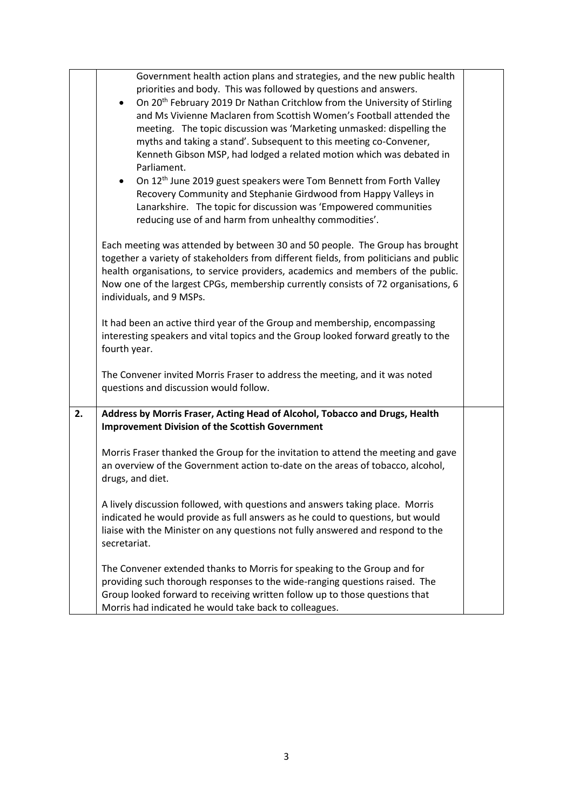|    | Government health action plans and strategies, and the new public health<br>priorities and body. This was followed by questions and answers.<br>On 20 <sup>th</sup> February 2019 Dr Nathan Critchlow from the University of Stirling<br>and Ms Vivienne Maclaren from Scottish Women's Football attended the<br>meeting. The topic discussion was 'Marketing unmasked: dispelling the<br>myths and taking a stand'. Subsequent to this meeting co-Convener,<br>Kenneth Gibson MSP, had lodged a related motion which was debated in<br>Parliament.<br>On 12 <sup>th</sup> June 2019 guest speakers were Tom Bennett from Forth Valley<br>$\bullet$<br>Recovery Community and Stephanie Girdwood from Happy Valleys in<br>Lanarkshire. The topic for discussion was 'Empowered communities<br>reducing use of and harm from unhealthy commodities'. |  |
|----|-----------------------------------------------------------------------------------------------------------------------------------------------------------------------------------------------------------------------------------------------------------------------------------------------------------------------------------------------------------------------------------------------------------------------------------------------------------------------------------------------------------------------------------------------------------------------------------------------------------------------------------------------------------------------------------------------------------------------------------------------------------------------------------------------------------------------------------------------------|--|
|    | Each meeting was attended by between 30 and 50 people. The Group has brought<br>together a variety of stakeholders from different fields, from politicians and public<br>health organisations, to service providers, academics and members of the public.<br>Now one of the largest CPGs, membership currently consists of 72 organisations, 6<br>individuals, and 9 MSPs.                                                                                                                                                                                                                                                                                                                                                                                                                                                                          |  |
|    | It had been an active third year of the Group and membership, encompassing<br>interesting speakers and vital topics and the Group looked forward greatly to the<br>fourth year.                                                                                                                                                                                                                                                                                                                                                                                                                                                                                                                                                                                                                                                                     |  |
|    | The Convener invited Morris Fraser to address the meeting, and it was noted<br>questions and discussion would follow.                                                                                                                                                                                                                                                                                                                                                                                                                                                                                                                                                                                                                                                                                                                               |  |
| 2. | Address by Morris Fraser, Acting Head of Alcohol, Tobacco and Drugs, Health<br><b>Improvement Division of the Scottish Government</b>                                                                                                                                                                                                                                                                                                                                                                                                                                                                                                                                                                                                                                                                                                               |  |
|    | Morris Fraser thanked the Group for the invitation to attend the meeting and gave<br>an overview of the Government action to-date on the areas of tobacco, alcohol,<br>drugs, and diet.                                                                                                                                                                                                                                                                                                                                                                                                                                                                                                                                                                                                                                                             |  |
|    | A lively discussion followed, with questions and answers taking place. Morris<br>indicated he would provide as full answers as he could to questions, but would<br>liaise with the Minister on any questions not fully answered and respond to the<br>secretariat.                                                                                                                                                                                                                                                                                                                                                                                                                                                                                                                                                                                  |  |
|    | The Convener extended thanks to Morris for speaking to the Group and for<br>providing such thorough responses to the wide-ranging questions raised. The<br>Group looked forward to receiving written follow up to those questions that<br>Morris had indicated he would take back to colleagues.                                                                                                                                                                                                                                                                                                                                                                                                                                                                                                                                                    |  |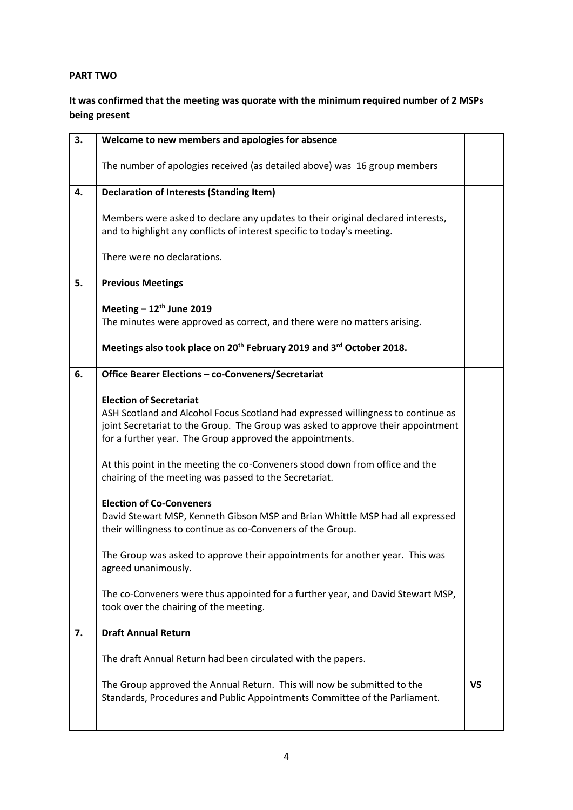## **PART TWO**

# **It was confirmed that the meeting was quorate with the minimum required number of 2 MSPs being present**

| 3. | Welcome to new members and apologies for absence                                                                                                           |           |
|----|------------------------------------------------------------------------------------------------------------------------------------------------------------|-----------|
|    | The number of apologies received (as detailed above) was 16 group members                                                                                  |           |
| 4. | <b>Declaration of Interests (Standing Item)</b>                                                                                                            |           |
|    | Members were asked to declare any updates to their original declared interests,<br>and to highlight any conflicts of interest specific to today's meeting. |           |
|    | There were no declarations.                                                                                                                                |           |
| 5. | <b>Previous Meetings</b>                                                                                                                                   |           |
|    |                                                                                                                                                            |           |
|    | Meeting $-12^{th}$ June 2019                                                                                                                               |           |
|    | The minutes were approved as correct, and there were no matters arising.                                                                                   |           |
|    | Meetings also took place on 20 <sup>th</sup> February 2019 and 3 <sup>rd</sup> October 2018.                                                               |           |
| 6. | Office Bearer Elections - co-Conveners/Secretariat                                                                                                         |           |
|    |                                                                                                                                                            |           |
|    | <b>Election of Secretariat</b>                                                                                                                             |           |
|    | ASH Scotland and Alcohol Focus Scotland had expressed willingness to continue as                                                                           |           |
|    | joint Secretariat to the Group. The Group was asked to approve their appointment                                                                           |           |
|    | for a further year. The Group approved the appointments.                                                                                                   |           |
|    | At this point in the meeting the co-Conveners stood down from office and the                                                                               |           |
|    | chairing of the meeting was passed to the Secretariat.                                                                                                     |           |
|    |                                                                                                                                                            |           |
|    | <b>Election of Co-Conveners</b>                                                                                                                            |           |
|    | David Stewart MSP, Kenneth Gibson MSP and Brian Whittle MSP had all expressed                                                                              |           |
|    | their willingness to continue as co-Conveners of the Group.                                                                                                |           |
|    |                                                                                                                                                            |           |
|    | The Group was asked to approve their appointments for another year. This was                                                                               |           |
|    | agreed unanimously.                                                                                                                                        |           |
|    | The co-Conveners were thus appointed for a further year, and David Stewart MSP,                                                                            |           |
|    | took over the chairing of the meeting.                                                                                                                     |           |
|    |                                                                                                                                                            |           |
| 7. | <b>Draft Annual Return</b>                                                                                                                                 |           |
|    | The draft Annual Return had been circulated with the papers.                                                                                               |           |
|    | The Group approved the Annual Return. This will now be submitted to the<br>Standards, Procedures and Public Appointments Committee of the Parliament.      | <b>VS</b> |
|    |                                                                                                                                                            |           |